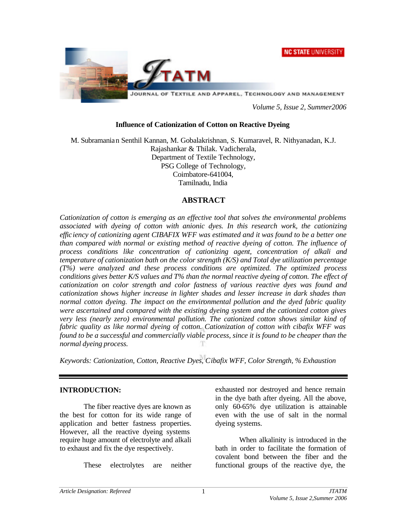**NC STATE UNIVERSITY** 



*Volume 5, Issue 2, Summer2006*

#### **Influence of Cationization of Cotton on Reactive Dyeing**

M. Subramanian Senthil Kannan, M. Gobalakrishnan, S. Kumaravel, R. Nithyanadan, K.J. Rajashankar & Thilak. Vadicherala, Department of Textile Technology, PSG College of Technology, Coimbatore-641004, Tamilnadu, India

## **ABSTRACT**

*Cationization of cotton is emerging as an effective tool that solves the environmental problems associated with dyeing of cotton with anionic dyes. In this research work, the cationizing efficiency of cationizing agent CIBAFIX WFF was estimated and it was found to be a better one than compared with normal or existing method of reactive dyeing of cotton. The influence of process conditions like concentration of cationizing agent, concentration of alkali and temperature of cationization bath on the color strength (K/S) and Total dye utilization percentage (T%) were analyzed and these process conditions are optimized. The optimized process conditions gives better K/S values and T% than the normal reactive dyeing of cotton. The effect of cationization on color strength and color fastness of various reactive dyes was found and cationization shows higher increase in lighter shades and lesser increase in dark shades than normal cotton dyeing. The impact on the environmental pollution and the dyed fabric quality were ascertained and compared with the existing dyeing system and the cationized cotton gives very less (nearly zero) environmental pollution. The cationized cotton shows similar kind of fabric quality as like normal dyeing of cotton. Cationization of cotton with cibafix WFF was found to be a successful and commercially viable process, since it is found to be cheaper than the normal dyeing process.*

*Keywords: Cationization, Cotton, Reactive Dyes, Cibafix WFF, Color Strength, % Exhaustion*

#### **INTRODUCTION:**

The fiber reactive dyes are known as the best for cotton for its wide range of application and better fastness properties. However, all the reactive dyeing systems require huge amount of electrolyte and alkali to exhaust and fix the dye respectively.

These electrolytes are neither

exhausted nor destroyed and hence remain in the dye bath after dyeing. All the above, only 60-65% dye utilization is attainable even with the use of salt in the normal dyeing systems.

When alkalinity is introduced in the bath in order to facilitate the formation of covalent bond between the fiber and the functional groups of the reactive dye, the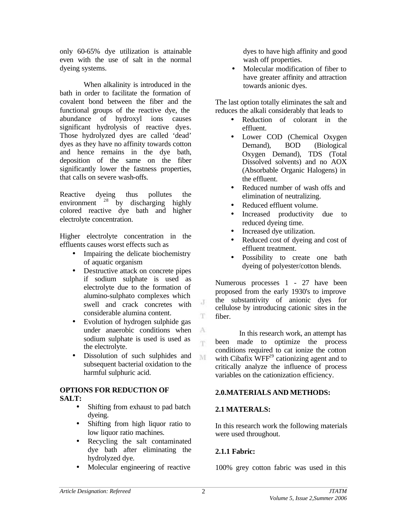only 60-65% dye utilization is attainable even with the use of salt in the normal dyeing systems.

When alkalinity is introduced in the bath in order to facilitate the formation of covalent bond between the fiber and the functional groups of the reactive dye, the abundance of hydroxyl ions causes significant hydrolysis of reactive dyes. Those hydrolyzed dyes are called 'dead' dyes as they have no affinity towards cotton and hence remains in the dye bath, deposition of the same on the fiber significantly lower the fastness properties, that calls on severe wash-offs.

Reactive dyeing thus pollutes the environment  $28$  by discharging highly colored reactive dye bath and higher electrolyte concentration.

Higher electrolyte concentration in the effluents causes worst effects such as

- Impairing the delicate biochemistry of aquatic organism
- Destructive attack on concrete pipes if sodium sulphate is used as electrolyte due to the formation of alumino-sulphato complexes which swell and crack concretes with considerable alumina content.
- Evolution of hydrogen sulphide gas under anaerobic conditions when sodium sulphate is used is used as the electrolyte.
- Dissolution of such sulphides and subsequent bacterial oxidation to the harmful sulphuric acid.

# **OPTIONS FOR REDUCTION OF**

- **SALT:**
	- Shifting from exhaust to pad batch dyeing.
	- Shifting from high liquor ratio to low liquor ratio machines.
	- Recycling the salt contaminated dye bath after eliminating the hydrolyzed dye.
	- Molecular engineering of reactive

dyes to have high affinity and good wash off properties.

• Molecular modification of fiber to have greater affinity and attraction towards anionic dyes.

The last option totally eliminates the salt and reduces the alkali considerably that leads to

- Reduction of colorant in the effluent.
- Lower COD (Chemical Oxygen Demand), BOD (Biological Oxygen Demand), TDS (Total Dissolved solvents) and no AOX (Absorbable Organic Halogens) in the effluent.
- Reduced number of wash offs and elimination of neutralizing.
- Reduced effluent volume.
- Increased productivity due to reduced dyeing time.
- Increased dye utilization.
- Reduced cost of dyeing and cost of effluent treatment.
- Possibility to create one bath dyeing of polyester/cotton blends.

Numerous processes 1 - 27 have been proposed from the early 1930's to improve the substantivity of anionic dyes for cellulose by introducing cationic sites in the fiber.

In this research work, an attempt has been made to optimize the process conditions required to cat ionize the cotton with Cibafix  $\text{WFF}^{29}$  cationizing agent and to critically analyze the influence of process variables on the cationization efficiency.

# **2.0.MATERIALS AND METHODS:**

# **2.1 MATERALS:**

In this research work the following materials were used throughout.

# **2.1.1 Fabric:**

100% grey cotton fabric was used in this

J T.

A 'n.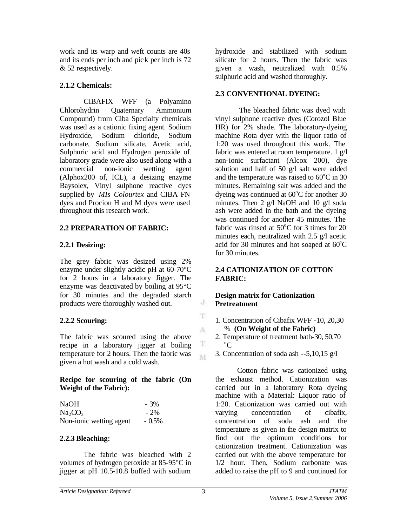work and its warp and weft counts are 40s and its ends per inch and pick per inch is 72 & 52 respectively.

# **2.1.2 Chemicals:**

CIBAFIX WFF (a Polyamino Chlorohydrin Quaternary Ammonium Compound) from Ciba Specialty chemicals was used as a cationic fixing agent. Sodium Hydroxide, Sodium chloride, Sodium carbonate, Sodium silicate, Acetic acid, Sulphuric acid and Hydrogen peroxide of laboratory grade were also used along with a commercial non-ionic wetting agent (Alphox200 of, ICL), a desizing enzyme Baysolex, Vinyl sulphone reactive dyes supplied by *MIs Colourtex* and CIBA FN dyes and Procion H and M dyes were used throughout this research work.

# **2.2 PREPARATION OF FABRIC:**

# **2.2.1 Desizing:**

The grey fabric was desized using 2% enzyme under slightly acidic pH at 60-70°C for 2 hours in a laboratory Jigger. The enzyme was deactivated by boiling at 95°C for 30 minutes and the degraded starch products were thoroughly washed out.

# **2.2.2 Scouring:**

The fabric was scoured using the above recipe in a laboratory jigger at boiling temperature for 2 hours. Then the fabric was given a hot wash and a cold wash.

## **Recipe for scouring of the fabric (On Weight of the Fabric):**

| <b>NaOH</b>                     | $-3%$    |
|---------------------------------|----------|
| Na <sub>2</sub> CO <sub>3</sub> | $-2\%$   |
| Non-ionic wetting agent         | $-0.5\%$ |

# **2.2.3 Bleaching:**

The fabric was bleached with 2 volumes of hydrogen peroxide at 85-95°C in jigger at pH 10.5-10.8 buffed with sodium

hydroxide and stabilized with sodium silicate for 2 hours. Then the fabric was given a wash, neutralized with 0.5% sulphuric acid and washed thoroughly.

# **2.3 CONVENTIONAL DYEING:**

The bleached fabric was dyed with vinyl sulphone reactive dyes (Corozol Blue HR) for 2% shade. The laboratory-dyeing machine Rota dyer with the liquor ratio of 1:20 was used throughout this work. The fabric was entered at room temperature. 1 g/l non-ionic surfactant (Alcox 200), dye solution and half of 50 g/l salt were added and the temperature was raised to  $60^{\circ}$ C in 30 minutes. Remaining salt was added and the dyeing was continued at  $60^{\circ}$ C for another 30 minutes. Then 2 g/l NaOH and 10 g/l soda ash were added in the bath and the dyeing was continued for another 45 minutes. The fabric was rinsed at  $50^{\circ}$ C for 3 times for 20 minutes each, neutralized with 2.5 g/l acetic acid for 30 minutes and hot soaped at  $60^{\circ}$ C for 30 minutes.

# **2.4 CATIONIZATION OF COTTON FABRIC:**

# **Design matrix for Cationization Pretreatment**

- 1. Concentration of Cibafix WFF -10, 20,30 % **(On Weight of the Fabric)**
- 2. Temperature of treatment bath-30, 50,70  $^{\circ}C$
- 3. Concentration of soda ash --5,10,15 g/l

Cotton fabric was cationized using the exhaust method. Cationization was carried out in a laboratory Rota dyeing machine with a Material: Liquor ratio of 1:20. Cationization was carried out with varying concentration of cibafix, concentration of soda ash and the temperature as given in the design matrix to find out the optimum conditions for cationization treatment. Cationization was carried out with the above temperature for 1/2 hour. Then, Sodium carbonate was added to raise the pH to 9 and continued for

J T.

A

T M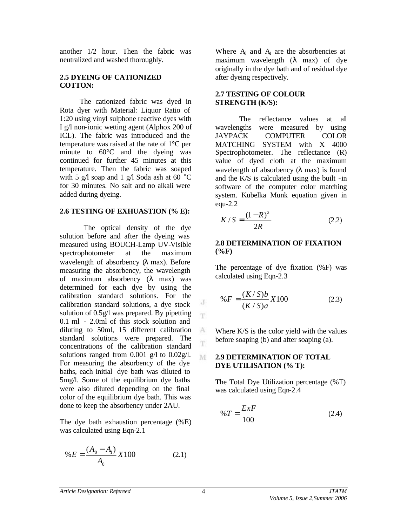another 1/2 hour. Then the fabric was neutralized and washed thoroughly.

#### **2.5 DYEING OF CATIONIZED COTTON:**

The cationized fabric was dyed in Rota dyer with Material: Liquor Ratio of 1:20 using vinyl sulphone reactive dyes with I g/l non-ionic wetting agent (Alphox 200 of ICL). The fabric was introduced and the temperature was raised at the rate of 1°C per minute to 60°C and the dyeing was continued for further 45 minutes at this temperature. Then the fabric was soaped with 5 g/l soap and 1 g/l Soda ash at 60  $^{\circ}$ C for 30 minutes. No salt and no alkali were added during dyeing.

## **2.6 TESTING OF EXHUASTION (% E):**

The optical density of the dye solution before and after the dyeing was measured using BOUCH-Lamp UV-Visible spectrophotometer at the maximum wavelength of absorbency  $\alpha$  max). Before measuring the absorbency, the wavelength of maximum absorbency (λ max) was determined for each dye by using the calibration standard solutions. For the calibration standard solutions, a dye stock solution of 0.5g/l was prepared. By pipetting 0.1 ml - 2.0ml of this stock solution and diluting to 50ml, 15 different calibration standard solutions were prepared. The concentrations of the calibration standard solutions ranged from 0.001 g/l to 0.02g/l. For measuring the absorbency of the dye baths, each initial dye bath was diluted to 5mg/l. Some of the equilibrium dye baths were also diluted depending on the final color of the equilibrium dye bath. This was done to keep the absorbency under 2AU.

The dye bath exhaustion percentage (%E) was calculated using Eqn-2.1

$$
\%E = \frac{(A_0 - A_1)}{A_0} X100 \tag{2.1}
$$

Where  $A_0$  and  $A_1$  are the absorbencies at maximum wavelength  $(\lambda$  max) of dye originally in the dye bath and of residual dye after dyeing respectively.

# **2.7 TESTING OF COLOUR STRENGTH (K/S):**

The reflectance values at all wavelengths were measured by using JAYPACK COMPUTER COLOR MATCHING SYSTEM with X 4000 Spectrophotometer. The reflectance  $(R)$ value of dyed cloth at the maximum wavelength of absorbency  $(\lambda \text{ max})$  is found and the K/S is calculated using the built -in software of the computer color matching system. Kubelka Munk equation given in equ-2.2

$$
K/S = \frac{(1 - R)^2}{2R}
$$
 (2.2)

#### **2.8 DETERMINATION OF FIXATION (%F)**

The percentage of dye fixation (%F) was calculated using Eqn-2.3

$$
\%F = \frac{(K/S)b}{(K/S)a}X100\tag{2.3}
$$

Where K/S is the color yield with the values before soaping (b) and after soaping (a).

## **2.9 DETERMINATION OF TOTAL DYE UTILISATION (% T):**

The Total Dye Utilization percentage (%T) was calculated using Eqn-2.4

$$
\%T = \frac{ExF}{100} \tag{2.4}
$$

J T.

 $A$ T.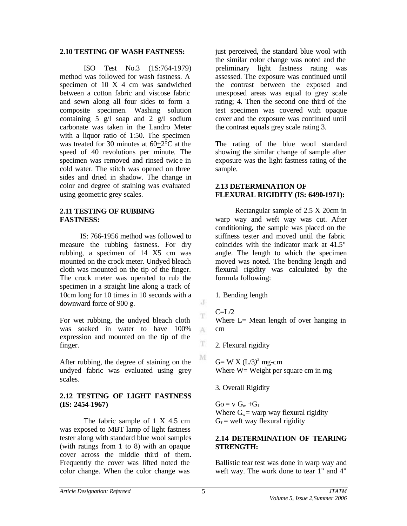#### **2.10 TESTING OF WASH FASTNESS:**

ISO Test No.3 (1S:764-1979) method was followed for wash fastness. A specimen of 10 X 4 cm was sandwiched between a cotton fabric and viscose fabric and sewn along all four sides to form a composite specimen. Washing solution containing  $5 \text{ g/l}$  soap and  $2 \text{ g/l}$  sodium carbonate was taken in the Landro Meter with a liquor ratio of 1:50. The specimen was treated for 30 minutes at 60+2°C at the speed of 40 revolutions per minute. The specimen was removed and rinsed twic e in cold water. The stitch was opened on three sides and dried in shadow. The change in color and degree of staining was evaluated using geometric grey scales.

#### **2.11 TESTING OF RUBBING FASTNESS:**

IS: 766-1956 method was followed to measure the rubbing fastness. For dry rubbing, a specimen of 14 X5 cm was mounted on the crock meter. Undyed bleach cloth was mounted on the tip of the finger. The crock meter was operated to rub the specimen in a straight line along a track of 10cm long for 10 times in 10 seconds with a downward force of 900 g.

For wet rubbing, the undyed bleach cloth was soaked in water to have 100% expression and mounted on the tip of the finger.

After rubbing, the degree of staining on the undyed fabric was evaluated using grey scales.

#### **2.12 TESTING OF LIGHT FASTNESS (IS: 2454-1967)**

The fabric sample of 1 X 4.5 cm was exposed to MBT lamp of light fastness tester along with standard blue wool samples (with ratings from 1 to 8) with an opaque cover across the middle third of them. Frequently the cover was lifted noted the color change. When the color change was

just perceived, the standard blue wool with the similar color change was noted and the preliminary light fastness rating was assessed. The exposure was continued until the contrast between the exposed and unexposed areas was equal to grey scale rating; 4. Then the second one third of the test specimen was covered with opaque cover and the exposure was continued until the contrast equals grey scale rating 3.

The rating of the blue wool standard showing the similar change of sample after exposure was the light fastness rating of the sample.

#### **2.13 DETERMINATION OF FLEXURAL RIGIDITY (IS: 6490-1971):**

Rectangular sample of 2.5 X 20cm in warp way and weft way was cut. After conditioning, the sample was placed on the stiffness tester and moved until the fabric coincides with the indicator mark at 41.5° angle. The length to which the specimen moved was noted. The bending length and flexural rigidity was calculated by the formula following:

1. Bending length

 $C=I/2$ 

J

T

A

 $\mathbf{T}$ 

M

Where L = Mean length of over hanging in cm

2. Flexural rigidity

G= W X  $(L/3)^3$  mg-cm Where  $W=$  Weight per square cm in mg

3. Overall Rigidity

 $Go = v G_w + G_f$ Where  $G_w$  = warp way flexural rigidity  $G_f$  = weft way flexural rigidity

#### **2.14 DETERMINATION OF TEARING STRENGTH:**

Ballistic tear test was done in warp way and weft way. The work done to tear 1" and 4"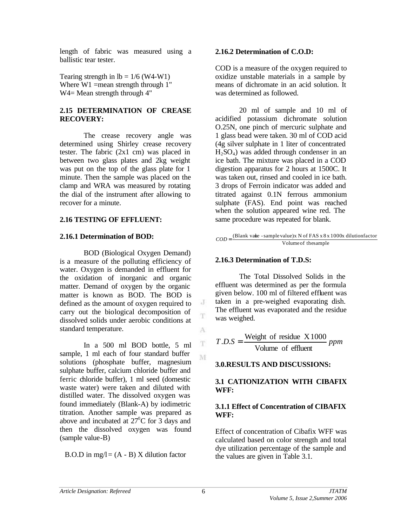length of fabric was measured using a ballistic tear tester.

Tearing strength in  $lb = 1/6$  (W4-W1) Where  $W1$  =mean strength through 1" W<sub>4</sub> = Mean strength through 4"

# **2.15 DETERMINATION OF CREASE RECOVERY:**

The crease recovery angle was determined using Shirley crease recovery tester. The fabric (2x1 cm) was placed in between two glass plates and 2kg weight was put on the top of the glass plate for 1 minute. Then the sample was placed on the clamp and WRA was measured by rotating the dial of the instrument after allowing to recover for a minute.

# **2.16 TESTING OF EFFLUENT:**

## **2.16.1 Determination of BOD:**

BOD (Biological Oxygen Demand) is a measure of the polluting efficiency of water. Oxygen is demanded in effluent for the oxidation of inorganic and organic matter. Demand of oxygen by the organic matter is known as BOD. The BOD is defined as the amount of oxygen required to carry out the biological decomposition of dissolved solids under aerobic conditions at standard temperature.

In a 500 ml BOD bottle, 5 ml sample, 1 ml each of four standard buffer solutions (phosphate buffer, magnesium sulphate buffer, calcium chloride buffer and ferric chloride buffer), 1 ml seed (domestic waste water) were taken and diluted with distilled water. The dissolved oxygen was found immediately (Blank-A) by iodimetric titration. Another sample was prepared as above and incubated at  $27^{\circ}$ C for 3 days and then the dissolved oxygen was found (sample value-B)

B.O.D in mg/l =  $(A - B)$  X dilution factor

#### **2.16.2 Determination of C.O.D:**

COD is a measure of the oxygen required to oxidize unstable materials in a sample by means of dichromate in an acid solution. It was determined as followed.

20 ml of sample and 10 ml of acidified potassium dichromate solution O.25N, one pinch of mercuric sulphate and 1 glass bead were taken. 30 ml of COD acid (4g silver sulphate in 1 liter of concentrated  $H_2SO_4$ ) was added through condenser in an ice bath. The mixture was placed in a COD digestion apparatus for 2 hours at 1500C. It was taken out, rinsed and cooled in ice bath. 3 drops of Ferroin indicator was added and titrated against 0.1N ferrous ammonium sulphate (FAS). End point was reached when the solution appeared wine red. The same procedure was repeated for blank.

Volumeof thesample  $COD = \frac{(Blank\ value - sample\ value)x \ N \ of\ FAS \ x \ 8 \ x \ 1000x \ dilution factor}$ 

#### **2.16.3 Determination of T.D.S:**

The Total Dissolved Solids in the effluent was determined as per the formula given below. 100 ml of filtered effluent was taken in a pre-weighed evaporating dish. The effluent was evaporated and the residue was weighed.

$$
T.D.S = \frac{\text{Weight of residue } X1000}{\text{Volume of effluent}} ppm
$$

#### **3.0.RESULTS AND DISCUSSIONS:**

## **3.1 CATIONIZATION WITH CIBAFIX WFF:**

## **3.1.1 Effect of Concentration of CIBAFIX WFF:**

Effect of concentration of Cibafix WFF was calculated based on color strength and total dye utilization percentage of the sample and the values are given in Table 3.1.

J

T

A

 $\mathbf T$ M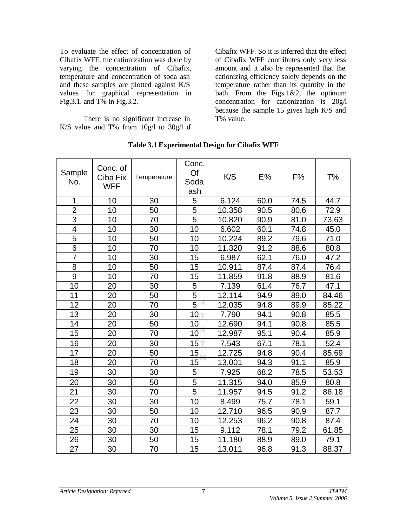To evaluate the effect of concentration of Cibafix WFF, the cationization was done by varying the concentration of Cibafix, temperature and concentration of soda ash and these samples are plotted against K/S values for graphical representation in Fig.3.1. and T% in Fig.3.2.

There is no significant increase in K/S value and T% from  $10g/l$  to  $30g/l$  of

Cibafix WFF. So it is inferred that the effect of Cibafix WFF contributes only very less amount and it also be represented that the cationizing efficiency solely depends on the temperature rather than its quantity in the bath. From the Figs.1&2, the optimum concentration for cationization is 20g/l because the sample 15 gives high K/S and T% value.

| Sample<br>No.           | Conc. of<br>Ciba Fix<br><b>WFF</b> | Temperature | Conc.<br>Of<br>Soda<br>ash | K/S    | E%   | F%   | T%    |
|-------------------------|------------------------------------|-------------|----------------------------|--------|------|------|-------|
| $\mathbf 1$             | 10                                 | 30          | 5                          | 6.124  | 60.0 | 74.5 | 44.7  |
| $\overline{2}$          | 10                                 | 50          | 5                          | 10.358 | 90.5 | 80.6 | 72.9  |
| $\overline{3}$          | 10                                 | 70          | $\overline{5}$             | 10.820 | 90.9 | 81.0 | 73.63 |
| $\overline{\mathbf{4}}$ | 10                                 | 30          | 10                         | 6.602  | 60.1 | 74.8 | 45.0  |
| 5                       | 10                                 | 50          | 10                         | 10.224 | 89.2 | 79.6 | 71.0  |
| 6                       | 10                                 | 70          | 10                         | 11.320 | 91.2 | 88.6 | 80.8  |
| $\overline{7}$          | 10                                 | 30          | 15                         | 6.987  | 62.1 | 76.0 | 47.2  |
| 8                       | 10                                 | 50          | 15                         | 10.911 | 87.4 | 87.4 | 76.4  |
| 9                       | 10                                 | 70          | 15                         | 11.859 | 91.8 | 88.9 | 81.6  |
| 10                      | 20                                 | 30          | 5                          | 7.139  | 61.4 | 76.7 | 47.1  |
| 11                      | 20                                 | 50          | $\overline{5}$             | 12.114 | 94.9 | 89.0 | 84.46 |
| 12                      | 20                                 | 70          | $\overline{5}$             | 12.035 | 94.8 | 89.9 | 85.22 |
| 13                      | 20                                 | 30          | 10                         | 7.790  | 94.1 | 90.8 | 85.5  |
| 14                      | 20                                 | 50          | 10                         | 12.690 | 94.1 | 90.8 | 85.5  |
| 15                      | 20                                 | 70          | 23,<br>10                  | 12.987 | 95.1 | 90.4 | 85.9  |
| 16                      | 20                                 | 30          | 15 <sup>1</sup>            | 7.543  | 67.1 | 78.1 | 52.4  |
| 17                      | 20                                 | 50          | 15 <sub>1</sub>            | 12.725 | 94.8 | 90.4 | 85.69 |
| 18                      | 20                                 | 70          | 15                         | 13.001 | 94.3 | 91.1 | 85.9  |
| 19                      | 30                                 | 30          | 5                          | 7.925  | 68.2 | 78.5 | 53.53 |
| 20                      | 30                                 | 50          | 5                          | 11.315 | 94.0 | 85.9 | 80.8  |
| 21                      | 30                                 | 70          | $\overline{5}$             | 11.957 | 94.5 | 91.2 | 86.18 |
| 22                      | 30                                 | 30          | 10                         | 8.499  | 75.7 | 78.1 | 59.1  |
| 23                      | 30                                 | 50          | 10                         | 12.710 | 96.5 | 90.9 | 87.7  |
| 24                      | 30                                 | 70          | 10                         | 12.253 | 96.2 | 90.8 | 87.4  |
| 25                      | 30                                 | 30          | 15                         | 9.112  | 78.1 | 79.2 | 61.85 |
| 26                      | 30                                 | 50          | 15                         | 11.180 | 88.9 | 89.0 | 79.1  |
| 27                      | 30                                 | 70          | 15                         | 13.011 | 96.8 | 91.3 | 88.37 |

## **Table 3.1 Experimental Design for Cibafix WFF**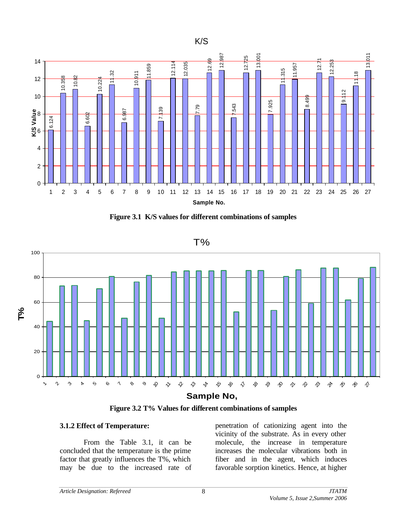

**Figure 3.1 K/S values for different combinations of samples**

T%



**Figure 3.2 T% Values for different combinations of samples**

## **3.1.2 Effect of Temperature:**

From the Table 3.1, it can be concluded that the temperature is the prime factor that greatly influences the T%, which may be due to the increased rate of

penetration of cationizing agent into the vicinity of the substrate. As in every other molecule, the increase in temperature increases the molecular vibrations both in fiber and in the agent, which induces favorable sorption kinetics. Hence, at higher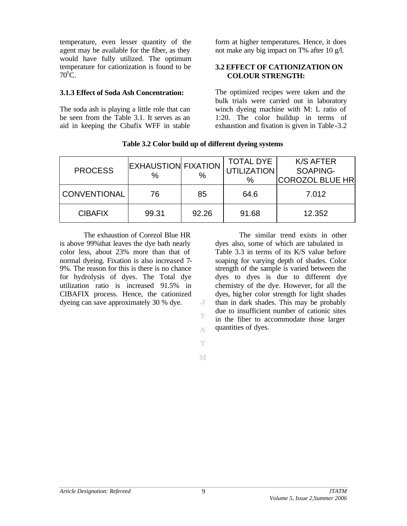temperature, even lesser quantity of the agent may be available for the fiber, as they would have fully utilized. The optimum temperature for cationization is found to be  $70^0C$ .

## **3.1.3 Effect of Soda Ash Concentration:**

The soda ash is playing a little role that can be seen from the Table 3.1. It serves as an aid in keeping the Cibafix WFF in stable form at higher temperatures. Hence, it does not make any big impact on T% after 10 g/l.

## **3.2 EFFECT OF CATIONIZATION ON COLOUR STRENGTH:**

The optimized recipes were taken and the bulk trials were carried out in laboratory winch dyeing machine with M: L ratio of 1:20. The color buildup in terms of exhaustion and fixation is given in Table -3.2

| <b>PROCESS</b>      | <b>EXHAUSTION FIXATION</b><br>$\%$ | %     | <b>TOTAL DYE</b><br><b>UTILIZATION</b><br>% | <b>K/S AFTER</b><br>SOAPING-<br>COROZOL BLUE HR |
|---------------------|------------------------------------|-------|---------------------------------------------|-------------------------------------------------|
| <b>CONVENTIONAL</b> | 76                                 | 85    | 64.6                                        | 7.012                                           |
| <b>CIBAFIX</b>      | 99.31                              | 92.26 | 91.68                                       | 12.352                                          |

#### **Table 3.2 Color build up of different dyeing systems**

The exhaustion of Corezol Blue HR is above 99%that leaves the dye bath nearly color less, about 23% more than that of normal dyeing. Fixation is also increased 7- 9%. The reason for this is there is no chance for hydrolysis of dyes. The Total dye utilization ratio is increased 91.5% in CIBAFIX process. Hence, the cationized dyeing can save approximately 30 % dye.

The similar trend exists in other dyes also, some of which are tabulated in Table 3.3 in terms of its K/S value before soaping for varying depth of shades. Color strength of the sample is varied between the dyes to dyes is due to different dye chemistry of the dye. However, for all the dyes, higher color strength for light shades than in dark shades. This may be probably due to insufficient number of cationic sites in the fiber to accommodate those larger quantities of dyes.

T. M

A

J T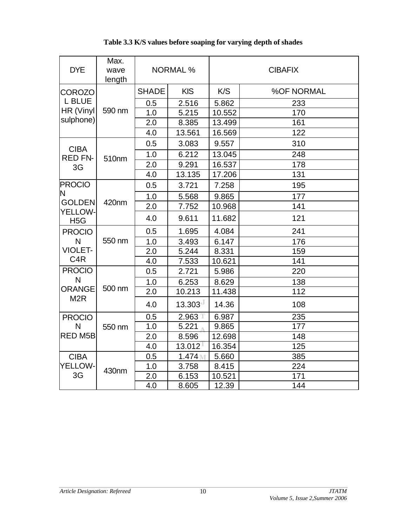| <b>DYE</b>                                            | Max.<br>wave<br>length | <b>NORMAL %</b> |            | <b>CIBAFIX</b> |                   |
|-------------------------------------------------------|------------------------|-----------------|------------|----------------|-------------------|
| <b>COROZO</b>                                         |                        | <b>SHADE</b>    | <b>KIS</b> | K/S            | <b>%OF NORMAL</b> |
| L BLUE                                                |                        | 0.5             | 2.516      | 5.862          | 233               |
| HR (Vinyl                                             | 590 nm                 | 1.0             | 5.215      | 10.552         | 170               |
| sulphone)                                             |                        | 2.0             | 8.385      | 13.499         | 161               |
|                                                       |                        | 4.0             | 13.561     | 16.569         | 122               |
| <b>CIBA</b>                                           |                        | 0.5             | 3.083      | 9.557          | 310               |
| <b>RED FN-</b>                                        | 510nm                  | 1.0             | 6.212      | 13.045         | 248               |
| 3G                                                    |                        | 2.0             | 9.291      | 16.537         | 178               |
|                                                       |                        | 4.0             | 13.135     | 17.206         | 131               |
| <b>PROCIO</b>                                         |                        | 0.5             | 3.721      | 7.258          | 195               |
| N                                                     |                        | 1.0             | 5.568      | 9.865          | 177               |
| <b>GOLDEN</b><br>420nm<br>YELLOW-<br>H <sub>5</sub> G | 2.0                    | 7.752           | 10.968     | 141            |                   |
|                                                       | 4.0                    | 9.611           | 11.682     | 121            |                   |
| <b>PROCIO</b>                                         |                        | 0.5             | 1.695      | 4.084          | 241               |
| $\mathsf{N}$                                          | 550 nm                 | 1.0             | 3.493      | 6.147          | 176               |
| <b>VIOLET-</b>                                        |                        | 2.0             | 5.244      | 8.331          | 159               |
| C <sub>4</sub> R                                      |                        | 4.0             | 7.533      | 10.621         | 141               |
| <b>PROCIO</b>                                         |                        | 0.5             | 2.721      | 5.986          | 220               |
| N                                                     |                        | 1.0             | 6.253      | 8.629          | 138               |
| <b>ORANGE</b>                                         | 500 nm                 | 2.0             | 10.213     | 11.438         | 112               |
| M <sub>2</sub> R                                      |                        | 4.0             | 13.303     | 14.36          | 108               |
| <b>PROCIO</b>                                         |                        | 0.5             | 2.963      | 6.987          | 235               |
| $\mathsf{N}$                                          | 550 nm                 | 1.0             | 5.221      | 9.865          | 177               |
| <b>RED M5B</b>                                        |                        | 2.0             | 8.596      | 12.698         | 148               |
|                                                       |                        | 4.0             | 13.012     | 16.354         | 125               |
| <b>CIBA</b>                                           |                        | 0.5             | 1.474M     | 5.660          | 385               |
| <b>YELLOW-</b>                                        | 430nm                  | 1.0             | 3.758      | 8.415          | 224               |
| 3G                                                    |                        | 2.0             | 6.153      | 10.521         | 171               |
|                                                       |                        | 4.0             | 8.605      | 12.39          | 144               |

**Table 3.3 K/S values before soaping for varying depth of shades**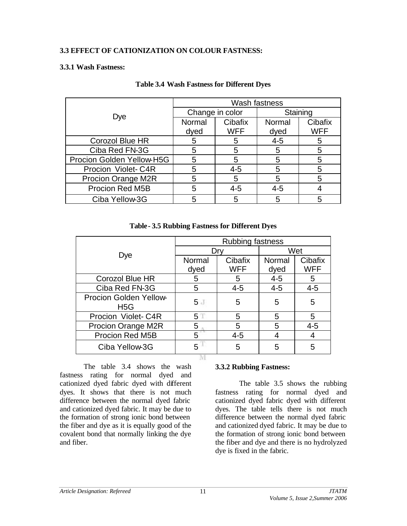# **3.3 EFFECT OF CATIONIZATION ON COLOUR FASTNESS:**

## **3.3.1 Wash Fastness:**

|                           | Wash fastness |                 |          |            |  |
|---------------------------|---------------|-----------------|----------|------------|--|
| <b>Dye</b>                |               | Change in color | Staining |            |  |
|                           | Normal        | Cibafix         | Normal   | Cibafix    |  |
|                           | dyed          | <b>WFF</b>      | dyed     | <b>WFF</b> |  |
| <b>Corozol Blue HR</b>    | 5             | 5               | $4 - 5$  | 5          |  |
| Ciba Red FN-3G            | 5             | 5               | 5        | 5          |  |
| Procion Golden Yellow-H5G | 5             | 5               | 5        | 5          |  |
| Procion Violet-C4R        | 5             | $4 - 5$         | 5        | 5          |  |
| Procion Orange M2R        | 5             | 5               | 5        | 5          |  |
| Procion Red M5B           | 5             | $4 - 5$         | 4-5      |            |  |
| Ciba Yellow-3G            | 5             | 5               | 5        |            |  |

#### **Table 3.4 Wash Fastness for Different Dyes**

|                                            | <b>Rubbing fastness</b> |            |         |            |  |
|--------------------------------------------|-------------------------|------------|---------|------------|--|
|                                            |                         |            | Wet     |            |  |
| Dye                                        | Normal                  | Cibafix    | Normal  | Cibafix    |  |
|                                            | dyed                    | <b>WFF</b> | dyed    | <b>WFF</b> |  |
| <b>Corozol Blue HR</b>                     | 5                       | 5          | $4 - 5$ | 5          |  |
| Ciba Red FN-3G                             | 5                       | $4 - 5$    | $4 - 5$ | $4 - 5$    |  |
| Procion Golden Yellow-<br>H <sub>5</sub> G | 5 <sub>1</sub>          | 5          | 5       | 5          |  |
| Procion Violet-C4R                         | 5 <sup>T</sup>          | 5          | 5       | 5          |  |
| Procion Orange M2R                         | 5                       | 5          | 5       | 4-5        |  |

## **Table - 3.5 Rubbing Fastness for Different Dyes**

M

Procion Red M5B  $\begin{array}{|c|c|c|c|c|c|c|c|c|} \hline 5 & 4 & 4 & 4 \\ \hline \end{array}$  $\text{Ciba}$  Yellow-3G  $\begin{array}{|c|c|c|c|c|c|} \hline 5 & 5 & 5 & 5 \\ \hline \end{array}$ 

The table 3.4 shows the wash fastness rating for normal dyed and cationized dyed fabric dyed with different dyes. It shows that there is not much difference between the normal dyed fabric and cationized dyed fabric. It may be due to the formation of strong ionic bond between the fiber and dye as it is equally good of the covalent bond that normally linking the dye and fiber.

# **3.3.2 Rubbing Fastness:**

The table 3.5 shows the rubbing fastness rating for normal dyed and cationized dyed fabric dyed with different dyes. The table tells there is not much difference between the normal dyed fabric and cationized dyed fabric. It may be due to the formation of strong ionic bond between the fiber and dye and there is no hydrolyzed dye is fixed in the fabric.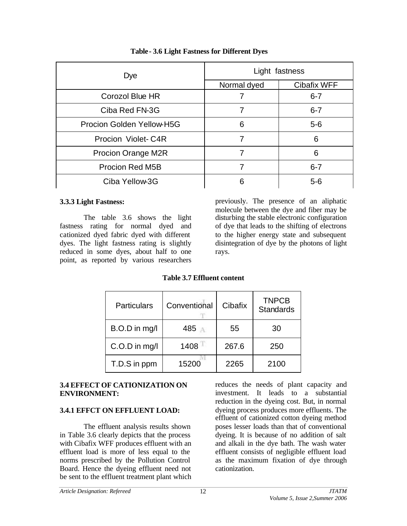| <b>Dye</b>                | Light fastness |                    |  |
|---------------------------|----------------|--------------------|--|
|                           | Normal dyed    | <b>Cibafix WFF</b> |  |
| Corozol Blue HR           |                | $6 - 7$            |  |
| Ciba Red FN-3G            | 7              | $6 - 7$            |  |
| Procion Golden Yellow-H5G | 6              | $5-6$              |  |
| Procion Violet-C4R        | 7              | 6                  |  |
| Procion Orange M2R        | 7              | 6                  |  |
| Procion Red M5B           | 7              | $6 - 7$            |  |
| Ciba Yellow-3G            | ิค             | 5-6                |  |

# **Table - 3.6 Light Fastness for Different Dyes**

## **3.3.3 Light Fastness:**

The table 3.6 shows the light fastness rating for normal dyed and cationized dyed fabric dyed with different dyes. The light fastness rating is slightly reduced in some dyes, about half to one point, as reported by various researchers

previously. The presence of an aliphatic molecule between the dye and fiber may be disturbing the stable electronic configuration of dye that leads to the shifting of electrons to the higher energy state and subsequent disintegration of dye by the photons of light rays.

# **Table 3.7 Effluent content**

| <b>Particulars</b> | Conventional | Cibafix | <b>TNPCB</b><br><b>Standards</b> |
|--------------------|--------------|---------|----------------------------------|
| B.O.D in mg/l      | 485          | 55      | 30                               |
| C.O.D in mg/l      | 1408         | 267.6   | 250                              |
| T.D.S in ppm       | 15200        | 2265    | 2100                             |

#### **3.4 EFFECT OF CATIONIZATION ON ENVIRONMENT:**

# **3.4.1 EFFCT ON EFFLUENT LOAD:**

The effluent analysis results shown in Table 3.6 clearly depicts that the process with Cibafix WFF produces effluent with an effluent load is more of less equal to the norms prescribed by the Pollution Control Board. Hence the dyeing effluent need not be sent to the effluent treatment plant which reduces the needs of plant capacity and investment. It leads to a substantial reduction in the dyeing cost. But, in normal dyeing process produces more effluents. The effluent of cationized cotton dyeing method poses lesser loads than that of conventional dyeing. It is because of no addition of salt and alkali in the dye bath. The wash water effluent consists of negligible effluent load as the maximum fixation of dye through cationization.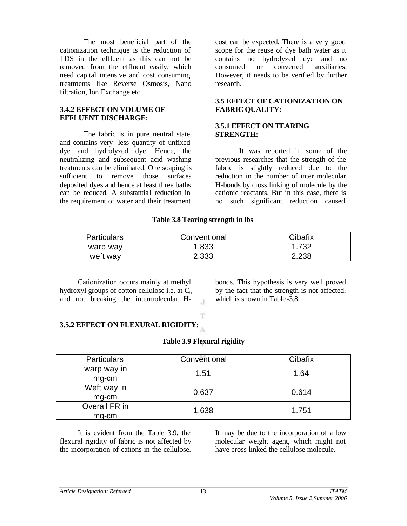The most beneficial part of the cationization technique is the reduction of TDS in the effluent as this can not be removed from the effluent easily, which need capital intensive and cost consuming treatments like Reverse Osmosis, Nano filtration, Ion Exchange etc.

#### **3.4.2 EFFECT ON VOLUME OF EFFLUENT DISCHARGE:**

The fabric is in pure neutral state and contains very less quantity of unfixed dye and hydrolyzed dye. Hence, the neutralizing and subsequent acid washing treatments can be eliminated. One soaping is sufficient to remove those surfaces deposited dyes and hence at least three baths can be reduced. A substantial reduction in the requirement of water and their treatment

cost can be expected. There is a very good scope for the reuse of dye bath water as it contains no hydrolyzed dye and no consumed or converted auxiliaries. However, it needs to be verified by further research.

# **3.5 EFFECT OF CATIONIZATION ON FABRIC QUALITY:**

## **3.5.1 EFFECT ON TEARING STRENGTH:**

It was reported in some of the previous researches that the strength of the fabric is slightly reduced due to the reduction in the number of inter molecular H-bonds by cross linking of molecule by the cationic reactants. But in this case, there is no such significant reduction caused.

#### **Table 3.8 Tearing strength in lbs**

| <b>Particulars</b> | Conventional | Cibafix |
|--------------------|--------------|---------|
| warp way           | 1.833        | - 722   |
| weft way           | 2.333        | 2.238   |

Cationization occurs mainly at methyl hydroxyl groups of cotton cellulose i.e. at  $C_6$ and not breaking the intermolecular H-

bonds. This hypothesis is very well proved by the fact that the strength is not affected, which is shown in Table-3.8.

# **3.5.2 EFFECT ON FLEXURAL RIGIDITY:**

# **Table 3.9 Flexural rigidity**

 $\mathcal{X}$ 

T

| <b>Particulars</b>     | Conventional | Cibafix |
|------------------------|--------------|---------|
| warp way in<br>mg-cm   | 1.51         | 1.64    |
| Weft way in<br>mg-cm   | 0.637        | 0.614   |
| Overall FR in<br>mg-cm | 1.638        | 1.751   |

It is evident from the Table 3.9, the flexural rigidity of fabric is not affected by the incorporation of cations in the cellulose.

It may be due to the incorporation of a low molecular weight agent, which might not have cross-linked the cellulose molecule.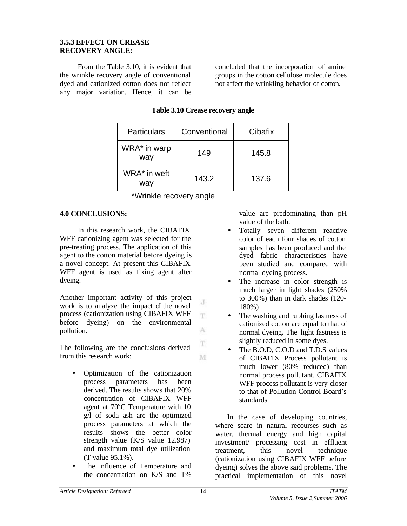## **3.5.3 EFFECT ON CREASE RECOVERY ANGLE:**

From the Table 3.10, it is evident that the wrinkle recovery angle of conventional dyed and cationized cotton does not reflect any major variation. Hence, it can be concluded that the incorporation of amine groups in the cotton cellulose molecule does not affect the wrinkling behavior of cotton.

| <b>Particulars</b>  | Conventional | Cibafix |
|---------------------|--------------|---------|
| WRA* in warp<br>way | 149          | 145.8   |
| WRA* in weft<br>way | 143.2        | 137.6   |

J T.

 $A$ 

T

M

#### **Table 3.10 Crease recovery angle**

\*Wrinkle recovery angle

# **4.0 CONCLUSIONS:**

In this research work, the CIBAFIX WFF cationizing agent was selected for the pre-treating process. The application of this agent to the cotton material before dyeing is a novel concept. At present this CIBAFIX WFF agent is used as fixing agent after dyeing.

Another important activity of this project work is to analyze the impact of the novel process (cationization using CIBAFIX WFF before dyeing) on the environmental pollution.

The following are the conclusions derived from this research work:

- Optimization of the cationization process parameters has been derived. The results shows that 20% concentration of CIBAFIX WFF agent at  $70^{\circ}$ C Temperature with 10 g/l of soda ash are the optimized process parameters at which the results shows the better color strength value (K/S value 12.987) and maximum total dye utilization (T value 95.1%).
- The influence of Temperature and the concentration on K/S and T%

value are predominating than pH value of the bath.

- Totally seven different reactive color of each four shades of cotton samples has been produced and the dyed fabric characteristics have been studied and compared with normal dyeing process.
- The increase in color strength is much larger in light shades (250% to 300%) than in dark shades (120- 180%)
- The washing and rubbing fastness of cationized cotton are equal to that of normal dyeing. The light fastness is slightly reduced in some dyes.
- The B.O.D, C.O.D and T.D.S values of CIBAFIX Process pollutant is much lower (80% reduced) than normal process pollutant. CIBAFIX WFF process pollutant is very closer to that of Pollution Control Board's standards.

In the case of developing countries, where scare in natural recourses such as water, thermal energy and high capital investment/ processing cost in effluent treatment, this novel technique (cationization using CIBAFIX WFF before dyeing) solves the above said problems. The practical implementation of this novel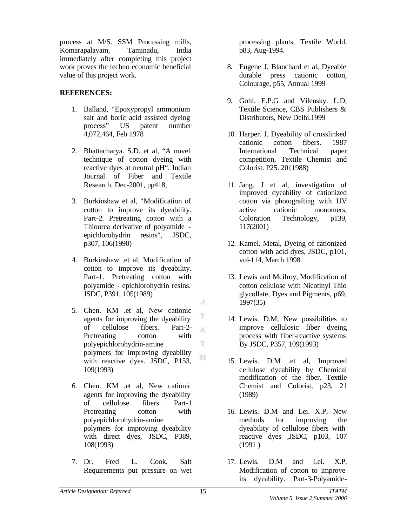process at M/S. SSM Processing mills, Komarapalayam, Taminadu, India immediately after completing this project work proves the techno economic beneficial value of this project work.

## **REFERENCES:**

- 1. Balland, "Epoxypropyl ammonium salt and boric acid assisted dyeing process" US patent number 4,072,464, Feb 1978
- 2. Bhattacharya. S.D. et al, "A novel technique of cotton dyeing with reactive dyes at neutral pH". Indian Journal of Fiber and Textile Research, Dec-2001, pp418,
- 3. Burkinshaw et al, "Modification of cotton to improve its dyeability. Part-2. Pretreating cotton with a Thiourea derivative of polyamide epichlorohydrin resins", JSDC, p307, 106(1990)
- 4. Burkinshaw .et al, Modification of cotton to improve its dyeability. Part-1. Pretreating cotton with polyamide - epichlorohydrin resins. JSDC, P391, 105(1989)
- 5. Chen. KM .et al, New cationic agents for improving the dyeability of cellulose fibers. Part-2- Pretreating cotton with polyepichlorohydrin-amine polymers for improving dyeability with reactive dyes. JSDC, P153, 109(1993)
- 6. Chen. KM .et al, New cationic agents for improving the dyeability of cellulose fibers. Part-1 Pretreating cotton with polyepichlorohydrin-amine polymers for improving dyeability with direct dyes, JSDC, P389, 108(1993)
- 7. Dr. Fred L. Cook, Salt Requirements put pressure on wet

processing plants, Textile World, p83, Aug-1994.

- 8. Eugene J. Blanchard et al, Dyeable durable press cationic cotton, Colourage, p55, Annual 1999
- 9. Gohl. E.P.G and Vilensky. L.D, Textile Science, CBS Publishers & Distributors, New Delhi.1999
- 10. Harper. J, Dyeability of crosslinked cationic cotton fibers. 1987 International Technical paper competition, Textile Chemist and Colorist. P25. 20{1988)
- 11. Jang. J et al, investigation of improved dyeability of cationized cotton via photografting with UV active cationic monomers, Coloration Technology, p139, 117(2001)
- 12. Kamel. Metal, Dyeing of cationized cotton with acid dyes, JSDC, p101, vol-114, March 1998.
- 13. Lewis and Mcilroy, Modification of cotton cellulose with Nicotinyl Thio glycollate, Dyes and Pigments, p69, 1997(35)
- 14. Lewis. D.M, New possibilities to improve cellulosic fiber dyeing process with fiber-reactive systems By JSDC, P357, 109(1993)
- 15. Lewis. D.M .et al, Improved cellulose dyeability by Chemical modification of the fiber. Textile Chemist and Colorist, p23, 21 (1989)
- 16. Lewis. D.M and Lei. X.P, New methods for improving the dyeability of cellulose fibers with reactive dyes ,JSDC, p103, 107 (1991 )
- 17. Lewis. D.M and Lei. X.P, Modification of cotton to improve its dyeability. Part-3-Polyamide-

J

T

A T.